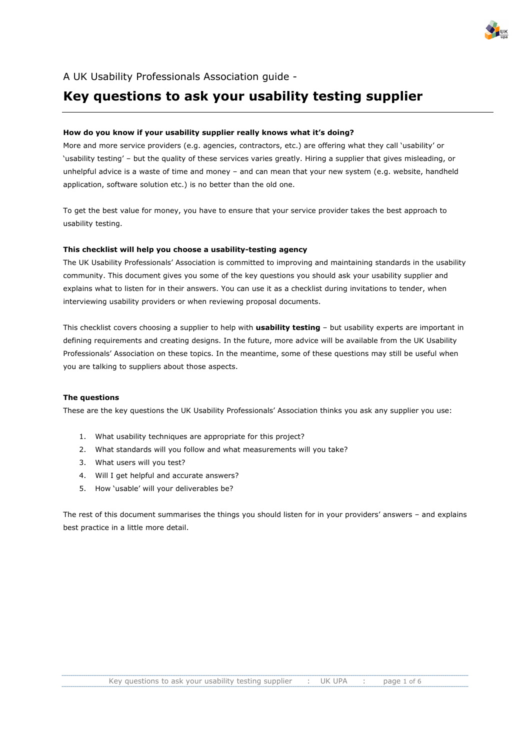

# A UK Usability Professionals Association guide -

# **Key questions to ask your usability testing supplier**

#### **How do you know if your usability supplier really knows what it's doing?**

More and more service providers (e.g. agencies, contractors, etc.) are offering what they call 'usability' or 'usability testing' – but the quality of these services varies greatly. Hiring a supplier that gives misleading, or unhelpful advice is a waste of time and money – and can mean that your new system (e.g. website, handheld application, software solution etc.) is no better than the old one.

To get the best value for money, you have to ensure that your service provider takes the best approach to usability testing.

#### **This checklist will help you choose a usability-testing agency**

The UK Usability Professionals' Association is committed to improving and maintaining standards in the usability community. This document gives you some of the key questions you should ask your usability supplier and explains what to listen for in their answers. You can use it as a checklist during invitations to tender, when interviewing usability providers or when reviewing proposal documents.

This checklist covers choosing a supplier to help with **usability testing** – but usability experts are important in defining requirements and creating designs. In the future, more advice will be available from the UK Usability Professionals' Association on these topics. In the meantime, some of these questions may still be useful when you are talking to suppliers about those aspects.

#### **The questions**

These are the key questions the UK Usability Professionals' Association thinks you ask any supplier you use:

- 1. What usability techniques are appropriate for this project?
- 2. What standards will you follow and what measurements will you take?
- 3. What users will you test?
- 4. Will I get helpful and accurate answers?
- 5. How 'usable' will your deliverables be?

The rest of this document summarises the things you should listen for in your providers' answers – and explains best practice in a little more detail.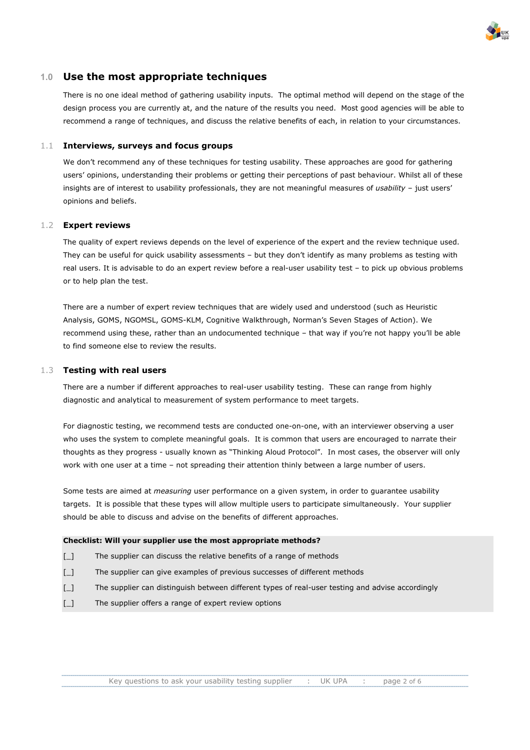

## **1.0 Use the most appropriate techniques**

There is no one ideal method of gathering usability inputs. The optimal method will depend on the stage of the design process you are currently at, and the nature of the results you need. Most good agencies will be able to recommend a range of techniques, and discuss the relative benefits of each, in relation to your circumstances.

#### 1.1 **Interviews, surveys and focus groups**

We don't recommend any of these techniques for testing usability. These approaches are good for gathering users' opinions, understanding their problems or getting their perceptions of past behaviour. Whilst all of these insights are of interest to usability professionals, they are not meaningful measures of *usability* – just users' opinions and beliefs.

#### 1.2 **Expert reviews**

The quality of expert reviews depends on the level of experience of the expert and the review technique used. They can be useful for quick usability assessments – but they don't identify as many problems as testing with real users. It is advisable to do an expert review before a real-user usability test – to pick up obvious problems or to help plan the test.

There are a number of expert review techniques that are widely used and understood (such as Heuristic Analysis, GOMS, NGOMSL, GOMS-KLM, Cognitive Walkthrough, Norman's Seven Stages of Action). We recommend using these, rather than an undocumented technique – that way if you're not happy you'll be able to find someone else to review the results.

#### 1.3 **Testing with real users**

There are a number if different approaches to real-user usability testing. These can range from highly diagnostic and analytical to measurement of system performance to meet targets.

For diagnostic testing, we recommend tests are conducted one-on-one, with an interviewer observing a user who uses the system to complete meaningful goals. It is common that users are encouraged to narrate their thoughts as they progress - usually known as "Thinking Aloud Protocol". In most cases, the observer will only work with one user at a time – not spreading their attention thinly between a large number of users.

Some tests are aimed at *measuring* user performance on a given system, in order to guarantee usability targets. It is possible that these types will allow multiple users to participate simultaneously. Your supplier should be able to discuss and advise on the benefits of different approaches.

#### **Checklist: Will your supplier use the most appropriate methods?**

- [\_] The supplier can discuss the relative benefits of a range of methods
- [\_] The supplier can give examples of previous successes of different methods
- [\_] The supplier can distinguish between different types of real-user testing and advise accordingly
- [] The supplier offers a range of expert review options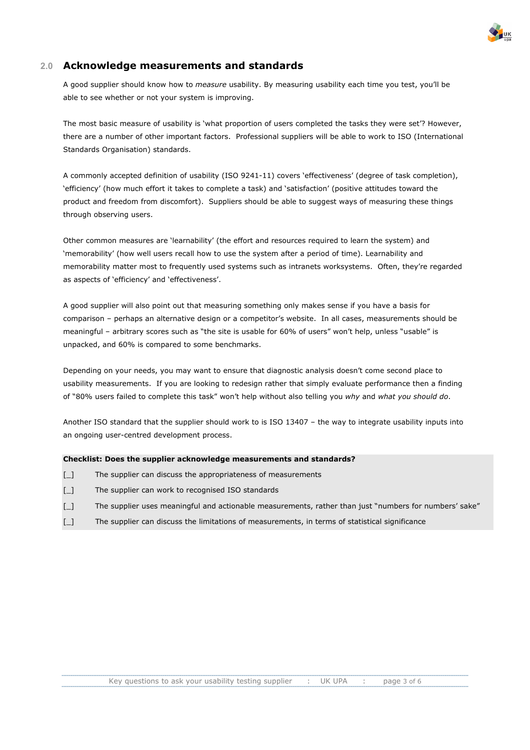

# **2.0 Acknowledge measurements and standards**

A good supplier should know how to *measure* usability. By measuring usability each time you test, you'll be able to see whether or not your system is improving.

The most basic measure of usability is 'what proportion of users completed the tasks they were set'? However, there are a number of other important factors. Professional suppliers will be able to work to ISO (International Standards Organisation) standards.

A commonly accepted definition of usability (ISO 9241-11) covers 'effectiveness' (degree of task completion), 'efficiency' (how much effort it takes to complete a task) and 'satisfaction' (positive attitudes toward the product and freedom from discomfort). Suppliers should be able to suggest ways of measuring these things through observing users.

Other common measures are 'learnability' (the effort and resources required to learn the system) and 'memorability' (how well users recall how to use the system after a period of time). Learnability and memorability matter most to frequently used systems such as intranets worksystems. Often, they're regarded as aspects of 'efficiency' and 'effectiveness'.

A good supplier will also point out that measuring something only makes sense if you have a basis for comparison – perhaps an alternative design or a competitor's website. In all cases, measurements should be meaningful – arbitrary scores such as "the site is usable for 60% of users" won't help, unless "usable" is unpacked, and 60% is compared to some benchmarks.

Depending on your needs, you may want to ensure that diagnostic analysis doesn't come second place to usability measurements. If you are looking to redesign rather that simply evaluate performance then a finding of "80% users failed to complete this task" won't help without also telling you *why* and *what you should do*.

Another ISO standard that the supplier should work to is ISO 13407 – the way to integrate usability inputs into an ongoing user-centred development process.

#### **Checklist: Does the supplier acknowledge measurements and standards?**

- [\_] The supplier can discuss the appropriateness of measurements
- [\_] The supplier can work to recognised ISO standards
- [\_] The supplier uses meaningful and actionable measurements, rather than just "numbers for numbers' sake"
- [\_] The supplier can discuss the limitations of measurements, in terms of statistical significance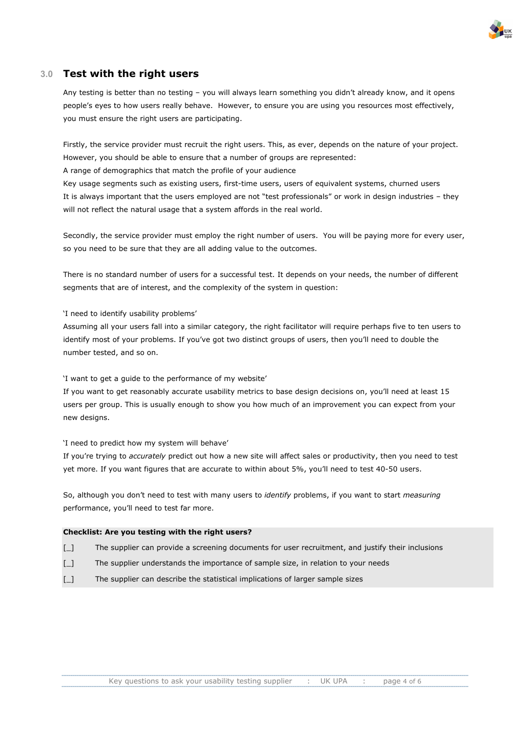

# **3.0 Test with the right users**

Any testing is better than no testing – you will always learn something you didn't already know, and it opens people's eyes to how users really behave. However, to ensure you are using you resources most effectively, you must ensure the right users are participating.

Firstly, the service provider must recruit the right users. This, as ever, depends on the nature of your project. However, you should be able to ensure that a number of groups are represented:

A range of demographics that match the profile of your audience

Key usage segments such as existing users, first-time users, users of equivalent systems, churned users It is always important that the users employed are not "test professionals" or work in design industries – they will not reflect the natural usage that a system affords in the real world.

Secondly, the service provider must employ the right number of users. You will be paying more for every user, so you need to be sure that they are all adding value to the outcomes.

There is no standard number of users for a successful test. It depends on your needs, the number of different segments that are of interest, and the complexity of the system in question:

'I need to identify usability problems'

Assuming all your users fall into a similar category, the right facilitator will require perhaps five to ten users to identify most of your problems. If you've got two distinct groups of users, then you'll need to double the number tested, and so on.

'I want to get a guide to the performance of my website'

If you want to get reasonably accurate usability metrics to base design decisions on, you'll need at least 15 users per group. This is usually enough to show you how much of an improvement you can expect from your new designs.

'I need to predict how my system will behave'

If you're trying to *accurately* predict out how a new site will affect sales or productivity, then you need to test yet more. If you want figures that are accurate to within about 5%, you'll need to test 40-50 users.

So, although you don't need to test with many users to *identify* problems, if you want to start *measuring* performance, you'll need to test far more.

#### **Checklist: Are you testing with the right users?**

- [\_] The supplier can provide a screening documents for user recruitment, and justify their inclusions
- [\_] The supplier understands the importance of sample size, in relation to your needs
- [\_] The supplier can describe the statistical implications of larger sample sizes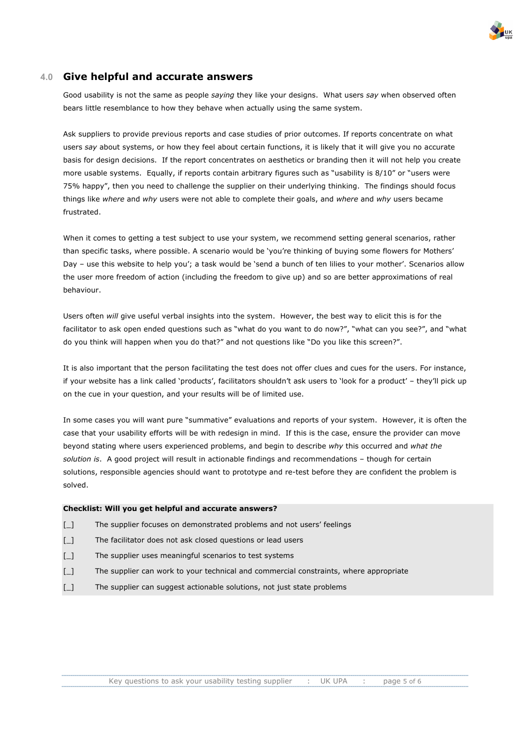

## **4.0 Give helpful and accurate answers**

Good usability is not the same as people *saying* they like your designs. What users *say* when observed often bears little resemblance to how they behave when actually using the same system.

Ask suppliers to provide previous reports and case studies of prior outcomes. If reports concentrate on what users *say* about systems, or how they feel about certain functions, it is likely that it will give you no accurate basis for design decisions. If the report concentrates on aesthetics or branding then it will not help you create more usable systems. Equally, if reports contain arbitrary figures such as "usability is 8/10" or "users were 75% happy", then you need to challenge the supplier on their underlying thinking. The findings should focus things like *where* and *why* users were not able to complete their goals, and *where* and *why* users became frustrated.

When it comes to getting a test subject to use your system, we recommend setting general scenarios, rather than specific tasks, where possible. A scenario would be 'you're thinking of buying some flowers for Mothers' Day – use this website to help you'; a task would be 'send a bunch of ten lilies to your mother'. Scenarios allow the user more freedom of action (including the freedom to give up) and so are better approximations of real behaviour.

Users often *will* give useful verbal insights into the system. However, the best way to elicit this is for the facilitator to ask open ended questions such as "what do you want to do now?", "what can you see?", and "what do you think will happen when you do that?" and not questions like "Do you like this screen?".

It is also important that the person facilitating the test does not offer clues and cues for the users. For instance, if your website has a link called 'products', facilitators shouldn't ask users to 'look for a product' – they'll pick up on the cue in your question, and your results will be of limited use.

In some cases you will want pure "summative" evaluations and reports of your system. However, it is often the case that your usability efforts will be with redesign in mind. If this is the case, ensure the provider can move beyond stating where users experienced problems, and begin to describe *why* this occurred and *what the solution is*. A good project will result in actionable findings and recommendations – though for certain solutions, responsible agencies should want to prototype and re-test before they are confident the problem is solved.

#### **Checklist: Will you get helpful and accurate answers?**

- [\_] The supplier focuses on demonstrated problems and not users' feelings
- [\_] The facilitator does not ask closed questions or lead users
- [\_] The supplier uses meaningful scenarios to test systems
- [] The supplier can work to your technical and commercial constraints, where appropriate
- [\_] The supplier can suggest actionable solutions, not just state problems